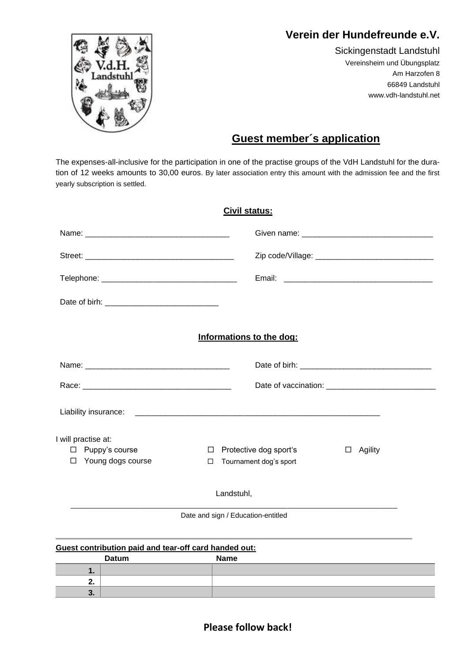# **Verein der Hundefreunde e.V.**



Sickingenstadt Landstuhl Vereinsheim und Übungsplatz Am Harzofen 8 66849 Landstuhl www.vdh-landstuhl.net

# **Guest member´s application**

The expenses-all-inclusive for the participation in one of the practise groups of the VdH Landstuhl for the duration of 12 weeks amounts to 30,00 euros. By later association entry this amount with the admission fee and the first yearly subscription is settled.

| Civil status:                                                          |                                                                      |              |  |
|------------------------------------------------------------------------|----------------------------------------------------------------------|--------------|--|
|                                                                        |                                                                      |              |  |
|                                                                        |                                                                      |              |  |
|                                                                        |                                                                      |              |  |
|                                                                        |                                                                      |              |  |
|                                                                        | Informations to the dog:                                             |              |  |
|                                                                        |                                                                      |              |  |
|                                                                        |                                                                      |              |  |
|                                                                        |                                                                      |              |  |
| I will practise at:<br>$\Box$ Puppy's course<br>Young dogs course<br>□ | Protective dog sport's<br>$\Box$<br>Tournament dog's sport<br>$\Box$ | Agility<br>□ |  |
|                                                                        | Landstuhl,                                                           |              |  |
|                                                                        | Date and sign / Education-entitled                                   |              |  |
|                                                                        |                                                                      |              |  |

#### **Guest contribution paid and tear-off card handed out:**

|               | <b>Datum</b> | <b>Name</b> |
|---------------|--------------|-------------|
| . .           |              |             |
| . .           |              |             |
| $\cdot$<br>v. |              |             |